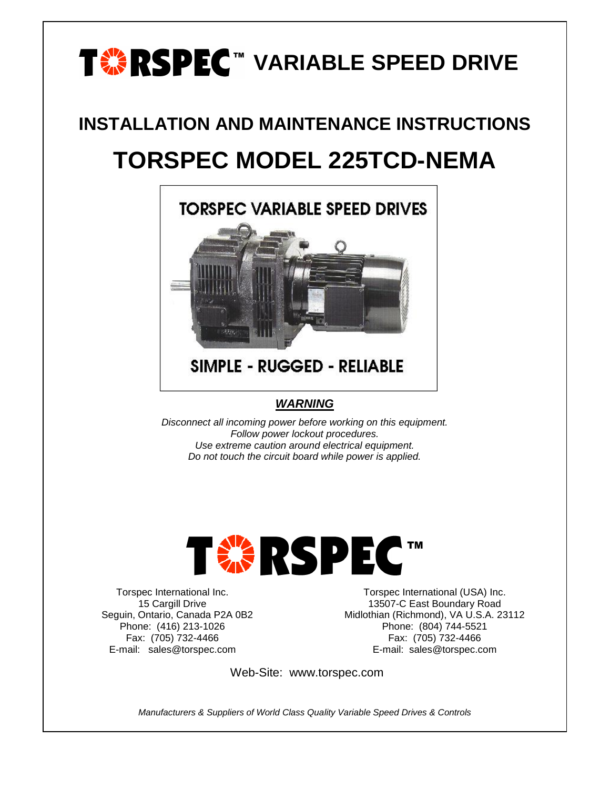# **TABLE SPEED DRIVE**

## **INSTALLATION AND MAINTENANCE INSTRUCTIONS TORSPEC MODEL 225TCD-NEMA**



## **SIMPLE - RUGGED - RELIABLE**

#### *WARNING*

*Disconnect all incoming power before working on this equipment. Follow power lockout procedures. Use extreme caution around electrical equipment. Do not touch the circuit board while power is applied.*



Torspec International Inc. 15 Cargill Drive Seguin, Ontario, Canada P2A 0B2 Phone: (416) 213-1026 Fax: (705) 732-4466 E-mail: sales@torspec.com

Torspec International (USA) Inc. 13507-C East Boundary Road Midlothian (Richmond), VA U.S.A. 23112 Phone: (804) 744-5521 Fax: (705) 732-4466 E-mail: sales@torspec.com

Web-Site: www.torspec.com

*Manufacturers & Suppliers of World Class Quality Variable Speed Drives & Controls*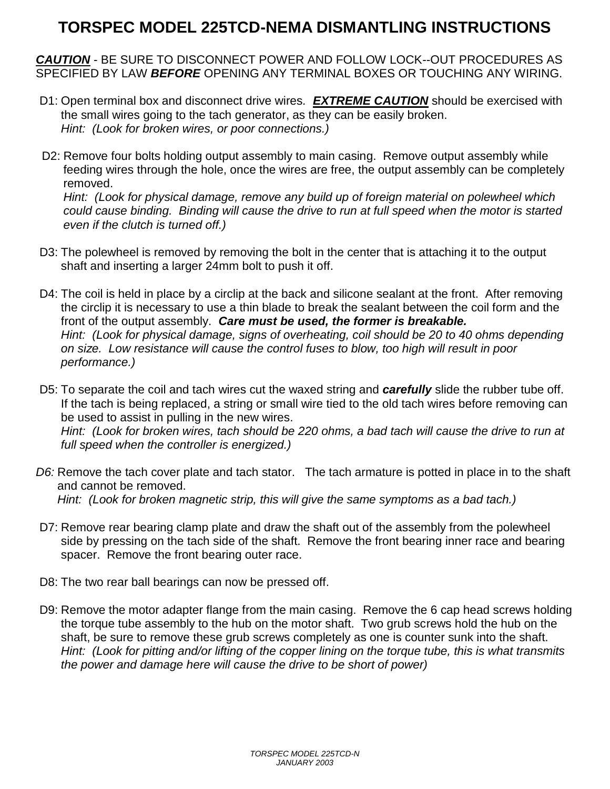## **TORSPEC MODEL 225TCD-NEMA DISMANTLING INSTRUCTIONS**

*CAUTION* - BE SURE TO DISCONNECT POWER AND FOLLOW LOCK--OUT PROCEDURES AS SPECIFIED BY LAW *BEFORE* OPENING ANY TERMINAL BOXES OR TOUCHING ANY WIRING.

- D1: Open terminal box and disconnect drive wires*. EXTREME CAUTION* should be exercised with the small wires going to the tach generator, as they can be easily broken. *Hint: (Look for broken wires, or poor connections.)*
- D2: Remove four bolts holding output assembly to main casing. Remove output assembly while feeding wires through the hole, once the wires are free, the output assembly can be completely removed. *Hint: (Look for physical damage, remove any build up of foreign material on polewheel which*

*could cause binding. Binding will cause the drive to run at full speed when the motor is started even if the clutch is turned off.)*

- D3: The polewheel is removed by removing the bolt in the center that is attaching it to the output shaft and inserting a larger 24mm bolt to push it off.
- D4: The coil is held in place by a circlip at the back and silicone sealant at the front. After removing the circlip it is necessary to use a thin blade to break the sealant between the coil form and the front of the output assembly. *Care must be used, the former is breakable. Hint: (Look for physical damage, signs of overheating, coil should be 20 to 40 ohms depending on size. Low resistance will cause the control fuses to blow, too high will result in poor performance.)*
- D5: To separate the coil and tach wires cut the waxed string and *carefully* slide the rubber tube off. If the tach is being replaced, a string or small wire tied to the old tach wires before removing can be used to assist in pulling in the new wires. *Hint: (Look for broken wires, tach should be 220 ohms, a bad tach will cause the drive to run at full speed when the controller is energized.)*
- *D6:* Remove the tach cover plate and tach stator. The tach armature is potted in place in to the shaft and cannot be removed. *Hint: (Look for broken magnetic strip, this will give the same symptoms as a bad tach.)*
- D7: Remove rear bearing clamp plate and draw the shaft out of the assembly from the polewheel side by pressing on the tach side of the shaft. Remove the front bearing inner race and bearing spacer. Remove the front bearing outer race.
- D8: The two rear ball bearings can now be pressed off.
- D9: Remove the motor adapter flange from the main casing. Remove the 6 cap head screws holding the torque tube assembly to the hub on the motor shaft. Two grub screws hold the hub on the shaft, be sure to remove these grub screws completely as one is counter sunk into the shaft. *Hint: (Look for pitting and/or lifting of the copper lining on the torque tube, this is what transmits the power and damage here will cause the drive to be short of power)*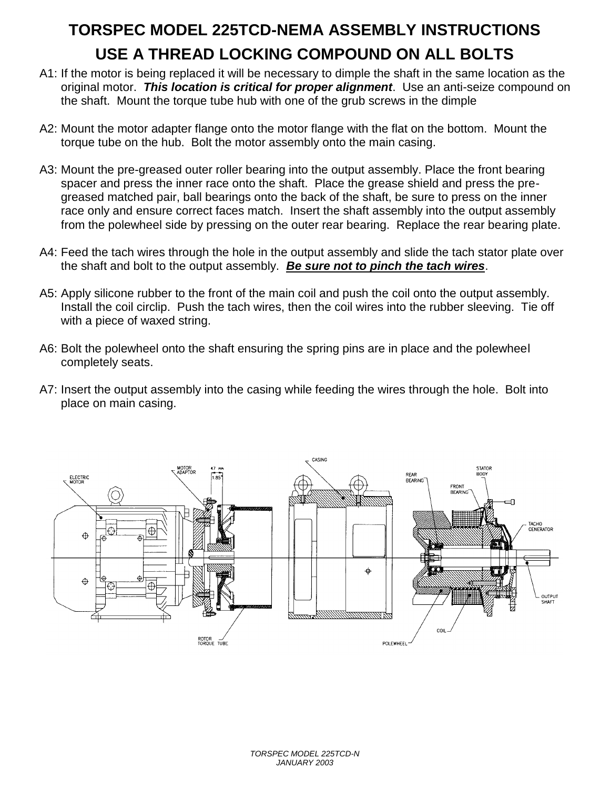## **TORSPEC MODEL 225TCD-NEMA ASSEMBLY INSTRUCTIONS USE A THREAD LOCKING COMPOUND ON ALL BOLTS**

- A1: If the motor is being replaced it will be necessary to dimple the shaft in the same location as the original motor. *This location is critical for proper alignment*. Use an anti-seize compound on the shaft. Mount the torque tube hub with one of the grub screws in the dimple
- A2: Mount the motor adapter flange onto the motor flange with the flat on the bottom. Mount the torque tube on the hub. Bolt the motor assembly onto the main casing.
- A3: Mount the pre-greased outer roller bearing into the output assembly. Place the front bearing spacer and press the inner race onto the shaft. Place the grease shield and press the pregreased matched pair, ball bearings onto the back of the shaft, be sure to press on the inner race only and ensure correct faces match. Insert the shaft assembly into the output assembly from the polewheel side by pressing on the outer rear bearing. Replace the rear bearing plate.
- A4: Feed the tach wires through the hole in the output assembly and slide the tach stator plate over the shaft and bolt to the output assembly. *Be sure not to pinch the tach wires*.
- A5: Apply silicone rubber to the front of the main coil and push the coil onto the output assembly. Install the coil circlip. Push the tach wires, then the coil wires into the rubber sleeving. Tie off with a piece of waxed string.
- A6: Bolt the polewheel onto the shaft ensuring the spring pins are in place and the polewheel completely seats.
- A7: Insert the output assembly into the casing while feeding the wires through the hole. Bolt into place on main casing.

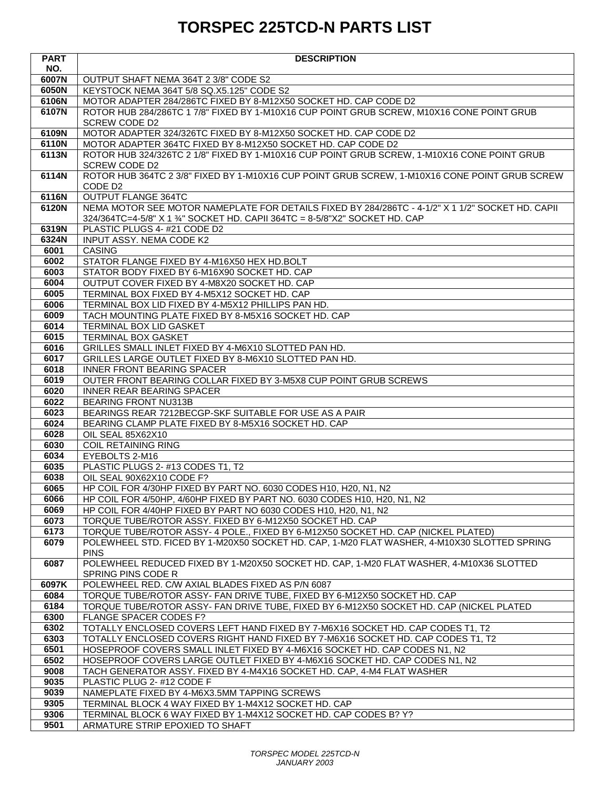## **TORSPEC 225TCD-N PARTS LIST**

| <b>PART</b>  | <b>DESCRIPTION</b>                                                                                                                            |
|--------------|-----------------------------------------------------------------------------------------------------------------------------------------------|
| NO.          |                                                                                                                                               |
| 6007N        | OUTPUT SHAFT NEMA 364T 2 3/8" CODE S2                                                                                                         |
| 6050N        | KEYSTOCK NEMA 364T 5/8 SQ.X5.125" CODE S2                                                                                                     |
| 6106N        | MOTOR ADAPTER 284/286TC FIXED BY 8-M12X50 SOCKET HD. CAP CODE D2                                                                              |
| 6107N        | ROTOR HUB 284/286TC 1 7/8" FIXED BY 1-M10X16 CUP POINT GRUB SCREW, M10X16 CONE POINT GRUB                                                     |
|              | SCREW CODE D2                                                                                                                                 |
| 6109N        | MOTOR ADAPTER 324/326TC FIXED BY 8-M12X50 SOCKET HD. CAP CODE D2                                                                              |
| 6110N        | MOTOR ADAPTER 364TC FIXED BY 8-M12X50 SOCKET HD. CAP CODE D2                                                                                  |
| 6113N        | ROTOR HUB 324/326TC 2 1/8" FIXED BY 1-M10X16 CUP POINT GRUB SCREW, 1-M10X16 CONE POINT GRUB                                                   |
| 6114N        | <b>SCREW CODE D2</b><br>ROTOR HUB 364TC 2 3/8" FIXED BY 1-M10X16 CUP POINT GRUB SCREW, 1-M10X16 CONE POINT GRUB SCREW                         |
|              | CODE D <sub>2</sub>                                                                                                                           |
| 6116N        | <b>OUTPUT FLANGE 364TC</b>                                                                                                                    |
| 6120N        | NEMA MOTOR SEE MOTOR NAMEPLATE FOR DETAILS FIXED BY 284/286TC - 4-1/2" X 1 1/2" SOCKET HD. CAPII                                              |
|              | 324/364TC=4-5/8" X 1 34" SOCKET HD. CAPII 364TC = 8-5/8"X2" SOCKET HD. CAP                                                                    |
| 6319N        | PLASTIC PLUGS 4- #21 CODE D2                                                                                                                  |
| 6324N        | INPUT ASSY. NEMA CODE K2                                                                                                                      |
| 6001         | <b>CASING</b>                                                                                                                                 |
| 6002         | STATOR FLANGE FIXED BY 4-M16X50 HEX HD.BOLT                                                                                                   |
| 6003         | STATOR BODY FIXED BY 6-M16X90 SOCKET HD. CAP                                                                                                  |
| 6004         | OUTPUT COVER FIXED BY 4-M8X20 SOCKET HD. CAP                                                                                                  |
| 6005         | TERMINAL BOX FIXED BY 4-M5X12 SOCKET HD. CAP                                                                                                  |
| 6006         | TERMINAL BOX LID FIXED BY 4-M5X12 PHILLIPS PAN HD.                                                                                            |
| 6009         | TACH MOUNTING PLATE FIXED BY 8-M5X16 SOCKET HD. CAP                                                                                           |
| 6014         | TERMINAL BOX LID GASKET                                                                                                                       |
| 6015         | <b>TERMINAL BOX GASKET</b>                                                                                                                    |
| 6016         | GRILLES SMALL INLET FIXED BY 4-M6X10 SLOTTED PAN HD.                                                                                          |
| 6017         | GRILLES LARGE OUTLET FIXED BY 8-M6X10 SLOTTED PAN HD.                                                                                         |
| 6018         | INNER FRONT BEARING SPACER                                                                                                                    |
| 6019         | OUTER FRONT BEARING COLLAR FIXED BY 3-M5X8 CUP POINT GRUB SCREWS                                                                              |
| 6020         | <b>INNER REAR BEARING SPACER</b>                                                                                                              |
| 6022         | <b>BEARING FRONT NU313B</b>                                                                                                                   |
| 6023         | BEARINGS REAR 7212BECGP-SKF SUITABLE FOR USE AS A PAIR                                                                                        |
| 6024         | BEARING CLAMP PLATE FIXED BY 8-M5X16 SOCKET HD. CAP                                                                                           |
| 6028         | OIL SEAL 85X62X10                                                                                                                             |
| 6030         | <b>COIL RETAINING RING</b>                                                                                                                    |
| 6034         | EYEBOLTS 2-M16                                                                                                                                |
| 6035         | PLASTIC PLUGS 2- #13 CODES T1, T2                                                                                                             |
| 6038         | OIL SEAL 90X62X10 CODE F?                                                                                                                     |
| 6065         | HP COIL FOR 4/30HP FIXED BY PART NO. 6030 CODES H10, H20, N1, N2                                                                              |
| 6066         | HP COIL FOR 4/50HP, 4/60HP FIXED BY PART NO. 6030 CODES H10, H20, N1, N2                                                                      |
| 6069<br>6073 | HP COIL FOR 4/40HP FIXED BY PART NO 6030 CODES H10, H20, N1, N2                                                                               |
| 6173         | TORQUE TUBE/ROTOR ASSY. FIXED BY 6-M12X50 SOCKET HD. CAP<br>TORQUE TUBE/ROTOR ASSY- 4 POLE., FIXED BY 6-M12X50 SOCKET HD. CAP (NICKEL PLATED) |
| 6079         | POLEWHEEL STD. FICED BY 1-M20X50 SOCKET HD. CAP, 1-M20 FLAT WASHER, 4-M10X30 SLOTTED SPRING                                                   |
|              | <b>PINS</b>                                                                                                                                   |
| 6087         | POLEWHEEL REDUCED FIXED BY 1-M20X50 SOCKET HD. CAP, 1-M20 FLAT WASHER, 4-M10X36 SLOTTED                                                       |
|              | SPRING PINS CODE R                                                                                                                            |
| 6097K        | POLEWHEEL RED. C/W AXIAL BLADES FIXED AS P/N 6087                                                                                             |
| 6084         | TORQUE TUBE/ROTOR ASSY- FAN DRIVE TUBE, FIXED BY 6-M12X50 SOCKET HD. CAP                                                                      |
| 6184         | TORQUE TUBE/ROTOR ASSY- FAN DRIVE TUBE, FIXED BY 6-M12X50 SOCKET HD. CAP (NICKEL PLATED                                                       |
| 6300         | FLANGE SPACER CODES F?                                                                                                                        |
| 6302         | TOTALLY ENCLOSED COVERS LEFT HAND FIXED BY 7-M6X16 SOCKET HD. CAP CODES T1, T2                                                                |
| 6303         | TOTALLY ENCLOSED COVERS RIGHT HAND FIXED BY 7-M6X16 SOCKET HD. CAP CODES T1, T2                                                               |
| 6501         | HOSEPROOF COVERS SMALL INLET FIXED BY 4-M6X16 SOCKET HD. CAP CODES N1, N2                                                                     |
| 6502         | HOSEPROOF COVERS LARGE OUTLET FIXED BY 4-M6X16 SOCKET HD. CAP CODES N1, N2                                                                    |
| 9008         | TACH GENERATOR ASSY. FIXED BY 4-M4X16 SOCKET HD. CAP, 4-M4 FLAT WASHER                                                                        |
| 9035         | PLASTIC PLUG 2- #12 CODE F                                                                                                                    |
| 9039         | NAMEPLATE FIXED BY 4-M6X3.5MM TAPPING SCREWS                                                                                                  |
| 9305         | TERMINAL BLOCK 4 WAY FIXED BY 1-M4X12 SOCKET HD. CAP                                                                                          |
| 9306         | TERMINAL BLOCK 6 WAY FIXED BY 1-M4X12 SOCKET HD. CAP CODES B? Y?                                                                              |
| 9501         | ARMATURE STRIP EPOXIED TO SHAFT                                                                                                               |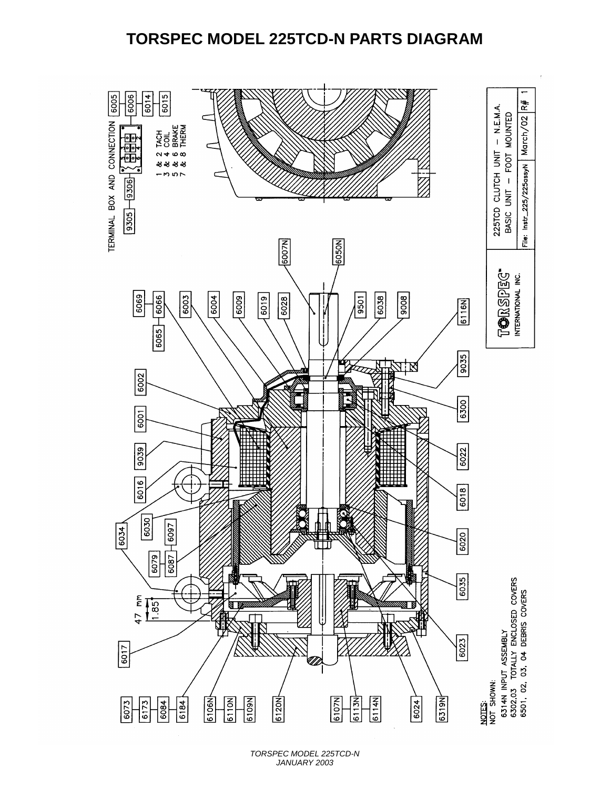### **TORSPEC MODEL 225TCD-N PARTS DIAGRAM**



*TORSPEC MODEL 225TCD-N JANUARY 2003*